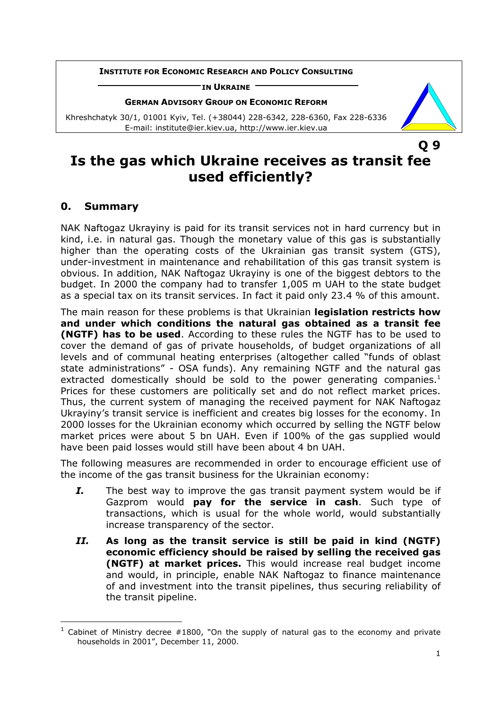**INSTITUTE FOR ECONOMIC RESEARCH AND POLICY CONSULTING**

**IN UKRAINE** -

### **GERMAN ADVISORY GROUP ON ECONOMIC REFORM**

Khreshchatyk 30/1, 01001 Kyiv, Tel. (+38044) 228-6342, 228-6360, Fax 228-6336 E-mail: institute@ier.kiev.ua, http://www.ier.kiev.ua



# **Q 9 Is the gas which Ukraine receives as transit fee used efficiently?**

## **0. Summary**

j

NAK Naftogaz Ukrayiny is paid for its transit services not in hard currency but in kind, i.e. in natural gas. Though the monetary value of this gas is substantially higher than the operating costs of the Ukrainian gas transit system (GTS), under-investment in maintenance and rehabilitation of this gas transit system is obvious. In addition, NAK Naftogaz Ukrayiny is one of the biggest debtors to the budget. In 2000 the company had to transfer 1,005 m UAH to the state budget as a special tax on its transit services. In fact it paid only 23.4 % of this amount.

The main reason for these problems is that Ukrainian **legislation restricts how and under which conditions the natural gas obtained as a transit fee (NGTF) has to be used**. According to these rules the NGTF has to be used to cover the demand of gas of private households, of budget organizations of all levels and of communal heating enterprises (altogether called "funds of oblast state administrations" - OSA funds). Any remaining NGTF and the natural gas extracted domestically should be sold to the power generating companies.<sup>1</sup> Prices for these customers are politically set and do not reflect market prices. Thus, the current system of managing the received payment for NAK Naftogaz Ukrayiny's transit service is inefficient and creates big losses for the economy. In 2000 losses for the Ukrainian economy which occurred by selling the NGTF below market prices were about 5 bn UAH. Even if 100% of the gas supplied would have been paid losses would still have been about 4 bn UAH.

The following measures are recommended in order to encourage efficient use of the income of the gas transit business for the Ukrainian economy:

- I. The best way to improve the gas transit payment system would be if Gazprom would **pay for the service in cash**. Such type of transactions, which is usual for the whole world, would substantially increase transparency of the sector.
- *II.* **As long as the transit service is still be paid in kind (NGTF) economic efficiency should be raised by selling the received gas (NGTF) at market prices.** This would increase real budget income and would, in principle, enable NAK Naftogaz to finance maintenance of and investment into the transit pipelines, thus securing reliability of the transit pipeline.

<sup>1</sup> Cabinet of Ministry decree  $#1800$ , "On the supply of natural gas to the economy and private households in 2001", December 11, 2000.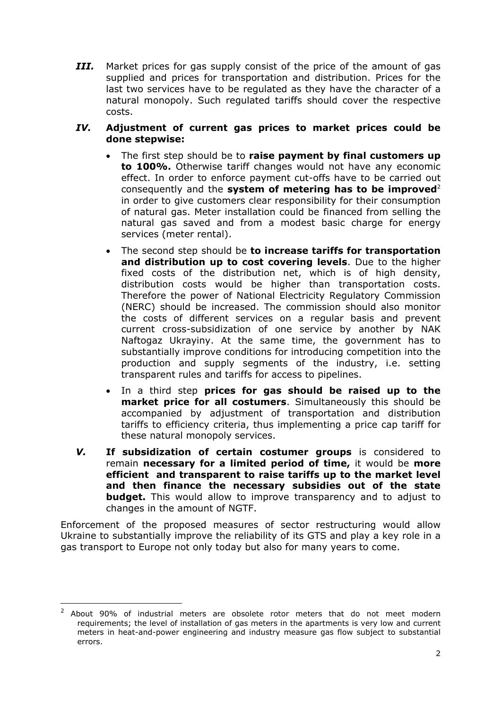**III.** Market prices for gas supply consist of the price of the amount of gas supplied and prices for transportation and distribution. Prices for the last two services have to be regulated as they have the character of a natural monopoly. Such regulated tariffs should cover the respective costs.

## *IV.* **Adjustment of current gas prices to market prices could be done stepwise:**

- The first step should be to **raise payment by final customers up to 100%.** Otherwise tariff changes would not have any economic effect. In order to enforce payment cut-offs have to be carried out consequently and the **system of metering has to be improved**<sup>2</sup> in order to give customers clear responsibility for their consumption of natural gas. Meter installation could be financed from selling the natural gas saved and from a modest basic charge for energy services (meter rental).
- The second step should be **to increase tariffs for transportation and distribution up to cost covering levels**. Due to the higher fixed costs of the distribution net, which is of high density, distribution costs would be higher than transportation costs. Therefore the power of National Electricity Regulatory Commission (NERC) should be increased. The commission should also monitor the costs of different services on a regular basis and prevent current cross-subsidization of one service by another by NAK Naftogaz Ukrayiny. At the same time, the government has to substantially improve conditions for introducing competition into the production and supply segments of the industry, i.e. setting transparent rules and tariffs for access to pipelines.
- In a third step **prices for gas should be raised up to the market price for all costumers**. Simultaneously this should be accompanied by adjustment of transportation and distribution tariffs to efficiency criteria, thus implementing a price cap tariff for these natural monopoly services.
- *V.* **If subsidization of certain costumer groups** is considered to remain **necessary for a limited period of time,** it would be **more efficient and transparent to raise tariffs up to the market level and then finance the necessary subsidies out of the state budget.** This would allow to improve transparency and to adjust to changes in the amount of NGTF.

Enforcement of the proposed measures of sector restructuring would allow Ukraine to substantially improve the reliability of its GTS and play a key role in a gas transport to Europe not only today but also for many years to come.

-

<sup>2</sup> About 90% of industrial meters are obsolete rotor meters that do not meet modern requirements; the level of installation of gas meters in the apartments is very low and current meters in heat-and-power engineering and industry measure gas flow subject to substantial errors.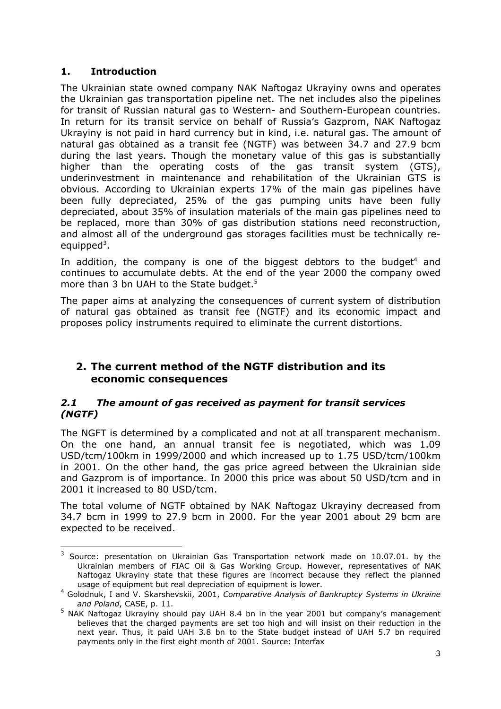## **1. Introduction**

j

The Ukrainian state owned company NAK Naftogaz Ukrayiny owns and operates the Ukrainian gas transportation pipeline net. The net includes also the pipelines for transit of Russian natural gas to Western- and Southern-European countries. In return for its transit service on behalf of Russiaís Gazprom, NAK Naftogaz Ukrayiny is not paid in hard currency but in kind, i.e. natural gas. The amount of natural gas obtained as a transit fee (NGTF) was between 34.7 and 27.9 bcm during the last years. Though the monetary value of this gas is substantially higher than the operating costs of the gas transit system (GTS), underinvestment in maintenance and rehabilitation of the Ukrainian GTS is obvious. According to Ukrainian experts 17% of the main gas pipelines have been fully depreciated, 25% of the gas pumping units have been fully depreciated, about 35% of insulation materials of the main gas pipelines need to be replaced, more than 30% of gas distribution stations need reconstruction, and almost all of the underground gas storages facilities must be technically reequipped<sup>3</sup>.

In addition, the company is one of the biggest debtors to the budget<sup>4</sup> and continues to accumulate debts. At the end of the year 2000 the company owed more than 3 bn UAH to the State budget. $5$ 

The paper aims at analyzing the consequences of current system of distribution of natural gas obtained as transit fee (NGTF) and its economic impact and proposes policy instruments required to eliminate the current distortions.

## **2. The current method of the NGTF distribution and its economic consequences**

## *2.1 The amount of gas received as payment for transit services (NGTF)*

The NGFT is determined by a complicated and not at all transparent mechanism. On the one hand, an annual transit fee is negotiated, which was 1.09 USD/tcm/100km in 1999/2000 and which increased up to 1.75 USD/tcm/100km in 2001. On the other hand, the gas price agreed between the Ukrainian side and Gazprom is of importance. In 2000 this price was about 50 USD/tcm and in 2001 it increased to 80 USD/tcm.

The total volume of NGTF obtained by NAK Naftogaz Ukrayiny decreased from 34.7 bcm in 1999 to 27.9 bcm in 2000. For the year 2001 about 29 bcm are expected to be received.

 $3$  Source: presentation on Ukrainian Gas Transportation network made on 10.07.01. by the Ukrainian members of FIAC Oil & Gas Working Group. However, representatives of NAK Naftogaz Ukrayiny state that these figures are incorrect because they reflect the planned usage of equipment but real depreciation of equipment is lower.

<sup>4</sup> Golodnuk, I and V. Skarshevskii, 2001, *Comparative Analysis of Bankruptcy Systems in Ukraine and Poland*, CASE, p. 11.

<sup>&</sup>lt;sup>5</sup> NAK Naftogaz Ukrayiny should pay UAH 8.4 bn in the year 2001 but company's management believes that the charged payments are set too high and will insist on their reduction in the next year. Thus, it paid UAH 3.8 bn to the State budget instead of UAH 5.7 bn required payments only in the first eight month of 2001. Source: Interfax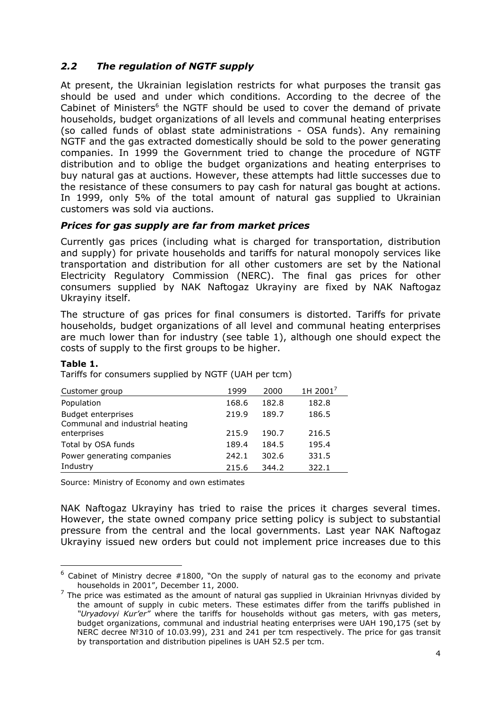## *2.2 The regulation of NGTF supply*

At present, the Ukrainian legislation restricts for what purposes the transit gas should be used and under which conditions. According to the decree of the Cabinet of Ministers $6$  the NGTF should be used to cover the demand of private households, budget organizations of all levels and communal heating enterprises (so called funds of oblast state administrations - OSA funds). Any remaining NGTF and the gas extracted domestically should be sold to the power generating companies. In 1999 the Government tried to change the procedure of NGTF distribution and to oblige the budget organizations and heating enterprises to buy natural gas at auctions. However, these attempts had little successes due to the resistance of these consumers to pay cash for natural gas bought at actions. In 1999, only 5% of the total amount of natural gas supplied to Ukrainian customers was sold via auctions.

### *Prices for gas supply are far from market prices*

Currently gas prices (including what is charged for transportation, distribution and supply) for private households and tariffs for natural monopoly services like transportation and distribution for all other customers are set by the National Electricity Regulatory Commission (NERC). The final gas prices for other consumers supplied by NAK Naftogaz Ukrayiny are fixed by NAK Naftogaz Ukrayiny itself.

The structure of gas prices for final consumers is distorted. Tariffs for private households, budget organizations of all level and communal heating enterprises are much lower than for industry (see table 1), although one should expect the costs of supply to the first groups to be higher.

#### **Table 1.**

 $\overline{a}$ 

Tariffs for consumers supplied by NGTF (UAH per tcm)

| Customer group                  | 1999  | 2000  | 1H 2001 <sup>7</sup> |
|---------------------------------|-------|-------|----------------------|
| Population                      | 168.6 | 182.8 | 182.8                |
| <b>Budget enterprises</b>       | 219.9 | 189.7 | 186.5                |
| Communal and industrial heating |       |       |                      |
| enterprises                     | 215.9 | 190.7 | 216.5                |
| Total by OSA funds              | 189.4 | 184.5 | 195.4                |
| Power generating companies      | 242.1 | 302.6 | 331.5                |
| Industry                        | 215.6 | 344.2 | 322.1                |

Source: Ministry of Economy and own estimates

NAK Naftogaz Ukrayiny has tried to raise the prices it charges several times. However, the state owned company price setting policy is subject to substantial pressure from the central and the local governments. Last year NAK Naftogaz Ukrayiny issued new orders but could not implement price increases due to this

 $6$  Cabinet of Ministry decree #1800, "On the supply of natural gas to the economy and private households in 2001", December 11, 2000.

 $<sup>7</sup>$  The price was estimated as the amount of natural gas supplied in Ukrainian Hrivnyas divided by</sup> the amount of supply in cubic meters. These estimates differ from the tariffs published in *ìUryadovyi Kuríerî* where the tariffs for households without gas meters, with gas meters, budget organizations, communal and industrial heating enterprises were UAH 190,175 (set by NERC decree №310 of 10.03.99), 231 and 241 per tcm respectively. The price for gas transit by transportation and distribution pipelines is UAH 52.5 per tcm.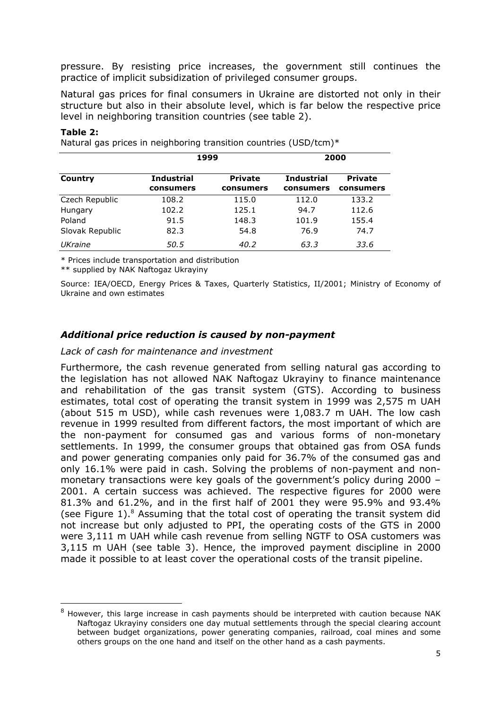pressure. By resisting price increases, the government still continues the practice of implicit subsidization of privileged consumer groups.

Natural gas prices for final consumers in Ukraine are distorted not only in their structure but also in their absolute level, which is far below the respective price level in neighboring transition countries (see table 2).

| <u>tracaral gas prices in heighboring cransicion counciles (05D/cent)</u> |                                |                             |                                |                             |  |
|---------------------------------------------------------------------------|--------------------------------|-----------------------------|--------------------------------|-----------------------------|--|
|                                                                           | 1999                           |                             | 2000                           |                             |  |
| Country                                                                   | <b>Industrial</b><br>consumers | <b>Private</b><br>consumers | <b>Industrial</b><br>consumers | <b>Private</b><br>consumers |  |
| Czech Republic                                                            | 108.2                          | 115.0                       | 112.0                          | 133.2                       |  |
| Hungary                                                                   | 102.2                          | 125.1                       | 94.7                           | 112.6                       |  |
| Poland                                                                    | 91.5                           | 148.3                       | 101.9                          | 155.4                       |  |
| Slovak Republic                                                           | 82.3                           | 54.8                        | 76.9                           | 74.7                        |  |
| <i>UKraine</i>                                                            | 50.5                           | 40.2                        | 63.3                           | 33.6                        |  |

#### **Table 2:**

-

Natural gas prices in neighboring transition countries (USD/tcm)\*

\* Prices include transportation and distribution

\*\* supplied by NAK Naftogaz Ukrayiny

Source: IEA/OECD, Energy Prices & Taxes, Quarterly Statistics, II/2001; Ministry of Economy of Ukraine and own estimates

### *Additional price reduction is caused by non-payment*

#### *Lack of cash for maintenance and investment*

Furthermore, the cash revenue generated from selling natural gas according to the legislation has not allowed NAK Naftogaz Ukrayiny to finance maintenance and rehabilitation of the gas transit system (GTS). According to business estimates, total cost of operating the transit system in 1999 was 2,575 m UAH (about 515 m USD), while cash revenues were 1,083.7 m UAH. The low cash revenue in 1999 resulted from different factors, the most important of which are the non-payment for consumed gas and various forms of non-monetary settlements. In 1999, the consumer groups that obtained gas from OSA funds and power generating companies only paid for 36.7% of the consumed gas and only 16.1% were paid in cash. Solving the problems of non-payment and nonmonetary transactions were key goals of the government's policy during 2000  $-$ 2001. A certain success was achieved. The respective figures for 2000 were 81.3% and 61.2%, and in the first half of 2001 they were 95.9% and 93.4% (see Figure  $1$ ).<sup>8</sup> Assuming that the total cost of operating the transit system did not increase but only adjusted to PPI, the operating costs of the GTS in 2000 were 3,111 m UAH while cash revenue from selling NGTF to OSA customers was 3,115 m UAH (see table 3). Hence, the improved payment discipline in 2000 made it possible to at least cover the operational costs of the transit pipeline.

 $^8$  However, this large increase in cash payments should be interpreted with caution because NAK Naftogaz Ukrayiny considers one day mutual settlements through the special clearing account between budget organizations, power generating companies, railroad, coal mines and some others groups on the one hand and itself on the other hand as a cash payments.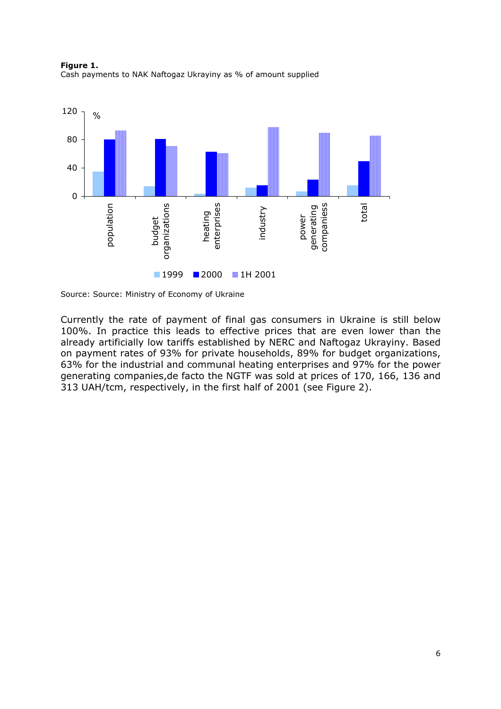

**Figure 1.**  Cash payments to NAK Naftogaz Ukrayiny as % of amount supplied

Source: Source: Ministry of Economy of Ukraine

Currently the rate of payment of final gas consumers in Ukraine is still below 100%. In practice this leads to effective prices that are even lower than the already artificially low tariffs established by NERC and Naftogaz Ukrayiny. Based on payment rates of 93% for private households, 89% for budget organizations, 63% for the industrial and communal heating enterprises and 97% for the power generating companies,de facto the NGTF was sold at prices of 170, 166, 136 and 313 UAH/tcm, respectively, in the first half of 2001 (see Figure 2).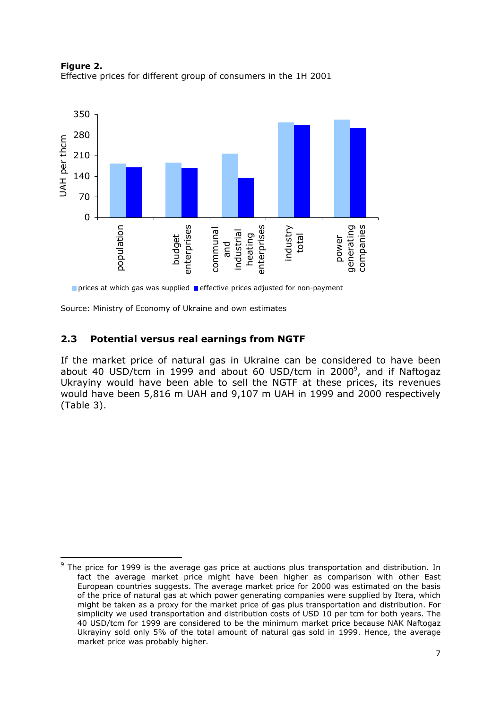



 $\blacksquare$  prices at which gas was supplied  $\blacksquare$  effective prices adjusted for non-payment

Source: Ministry of Economy of Ukraine and own estimates

-

### **2.3 Potential versus real earnings from NGTF**

If the market price of natural gas in Ukraine can be considered to have been about 40 USD/tcm in 1999 and about 60 USD/tcm in 2000 $^{\circ}$ , and if Naftogaz Ukrayiny would have been able to sell the NGTF at these prices, its revenues would have been 5,816 m UAH and 9,107 m UAH in 1999 and 2000 respectively (Table 3).

 $9$  The price for 1999 is the average gas price at auctions plus transportation and distribution. In fact the average market price might have been higher as comparison with other East European countries suggests. The average market price for 2000 was estimated on the basis of the price of natural gas at which power generating companies were supplied by Itera, which might be taken as a proxy for the market price of gas plus transportation and distribution. For simplicity we used transportation and distribution costs of USD 10 per tcm for both years. The 40 USD/tcm for 1999 are considered to be the minimum market price because NAK Naftogaz Ukrayiny sold only 5% of the total amount of natural gas sold in 1999. Hence, the average market price was probably higher.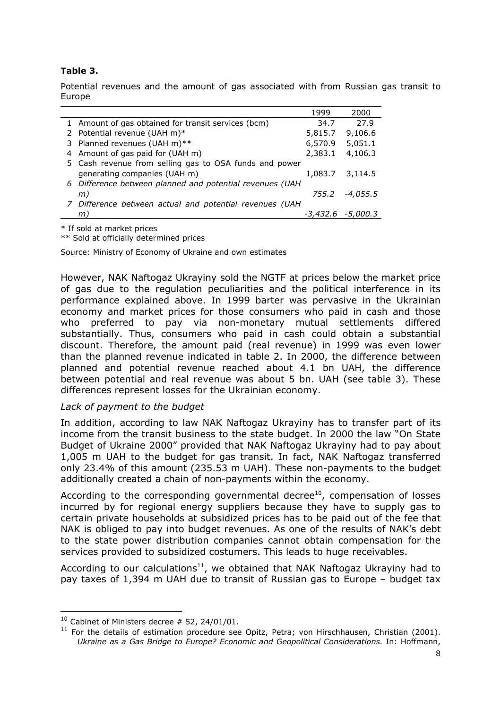### **Table 3.**

Potential revenues and the amount of gas associated with from Russian gas transit to Europe

|                                                          | 1999     | 2000     |
|----------------------------------------------------------|----------|----------|
| 1 Amount of gas obtained for transit services (bcm)      | 34.7     | 27.9     |
| 2 Potential revenue (UAH m)*                             | 5,815.7  | 9,106.6  |
| 3 Planned revenues (UAH m)**                             | 6,570.9  | 5,051.1  |
| 4 Amount of gas paid for (UAH m)                         | 2,383.1  | 4,106.3  |
| 5 Cash revenue from selling gas to OSA funds and power   |          |          |
| generating companies (UAH m)                             | 1,083.7  | 3,114.5  |
| 6 Difference between planned and potential revenues (UAH |          |          |
| m)                                                       | 755.2    | -4,055.5 |
| 7 Difference between actual and potential revenues (UAH  |          |          |
| m.                                                       | -3,432.6 | -5,000.3 |
|                                                          |          |          |

\* If sold at market prices

\*\* Sold at officially determined prices

Source: Ministry of Economy of Ukraine and own estimates

However, NAK Naftogaz Ukrayiny sold the NGTF at prices below the market price of gas due to the regulation peculiarities and the political interference in its performance explained above. In 1999 barter was pervasive in the Ukrainian economy and market prices for those consumers who paid in cash and those who preferred to pay via non-monetary mutual settlements differed substantially. Thus, consumers who paid in cash could obtain a substantial discount. Therefore, the amount paid (real revenue) in 1999 was even lower than the planned revenue indicated in table 2. In 2000, the difference between planned and potential revenue reached about 4.1 bn UAH, the difference between potential and real revenue was about 5 bn. UAH (see table 3). These differences represent losses for the Ukrainian economy.

### *Lack of payment to the budget*

In addition, according to law NAK Naftogaz Ukrayiny has to transfer part of its income from the transit business to the state budget. In 2000 the law "On State Budget of Ukraine 2000" provided that NAK Naftogaz Ukrayiny had to pay about 1,005 m UAH to the budget for gas transit. In fact, NAK Naftogaz transferred only 23.4% of this amount (235.53 m UAH). These non-payments to the budget additionally created a chain of non-payments within the economy.

According to the corresponding governmental decree<sup>10</sup>, compensation of losses incurred by for regional energy suppliers because they have to supply gas to certain private households at subsidized prices has to be paid out of the fee that NAK is obliged to pay into budget revenues. As one of the results of NAK's debt to the state power distribution companies cannot obtain compensation for the services provided to subsidized costumers. This leads to huge receivables.

According to our calculations<sup>11</sup>, we obtained that NAK Naftogaz Ukrayiny had to pay taxes of 1,394 m UAH due to transit of Russian gas to Europe  $-$  budget tax

 $\overline{a}$ 

 $10$  Cabinet of Ministers decree # 52, 24/01/01.

 $11$  For the details of estimation procedure see Opitz, Petra; von Hirschhausen, Christian (2001). Ukraine as a Gas Bridge to Europe? Economic and Geopolitical Considerations. In: Hoffmann,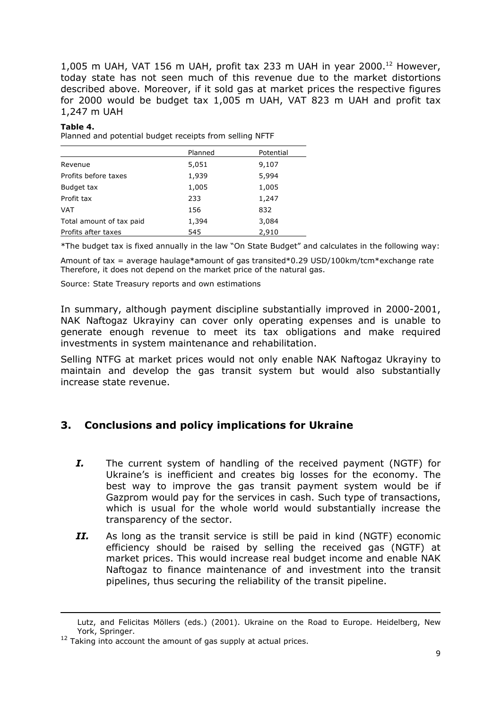$1,005$  m UAH, VAT 156 m UAH, profit tax 233 m UAH in year 2000.<sup>12</sup> However, today state has not seen much of this revenue due to the market distortions described above. Moreover, if it sold gas at market prices the respective figures for 2000 would be budget tax 1,005 m UAH, VAT 823 m UAH and profit tax 1,247 m UAH

#### **Table 4.**

-

Planned and potential budget receipts from selling NFTF

|                          | Planned | Potential |
|--------------------------|---------|-----------|
| Revenue                  | 5,051   | 9,107     |
| Profits before taxes     | 1,939   | 5,994     |
| Budget tax               | 1,005   | 1,005     |
| Profit tax               | 233     | 1,247     |
| <b>VAT</b>               | 156     | 832       |
| Total amount of tax paid | 1,394   | 3,084     |
| Profits after taxes      | 545     | 2,910     |

\*The budget tax is fixed annually in the law "On State Budget" and calculates in the following way:

Amount of tax = average haulage\*amount of gas transited\*0.29 USD/100km/tcm\*exchange rate Therefore, it does not depend on the market price of the natural gas.

Source: State Treasury reports and own estimations

In summary, although payment discipline substantially improved in 2000-2001, NAK Naftogaz Ukrayiny can cover only operating expenses and is unable to generate enough revenue to meet its tax obligations and make required investments in system maintenance and rehabilitation.

Selling NTFG at market prices would not only enable NAK Naftogaz Ukrayiny to maintain and develop the gas transit system but would also substantially increase state revenue.

## **3. Conclusions and policy implications for Ukraine**

- I. The current system of handling of the received payment (NGTF) for Ukraineís is inefficient and creates big losses for the economy. The best way to improve the gas transit payment system would be if Gazprom would pay for the services in cash. Such type of transactions, which is usual for the whole world would substantially increase the transparency of the sector.
- **II.** As long as the transit service is still be paid in kind (NGTF) economic efficiency should be raised by selling the received gas (NGTF) at market prices. This would increase real budget income and enable NAK Naftogaz to finance maintenance of and investment into the transit pipelines, thus securing the reliability of the transit pipeline.

Lutz, and Felicitas Möllers (eds.) (2001). Ukraine on the Road to Europe. Heidelberg, New York, Springer.

<sup>&</sup>lt;sup>12</sup> Taking into account the amount of gas supply at actual prices.